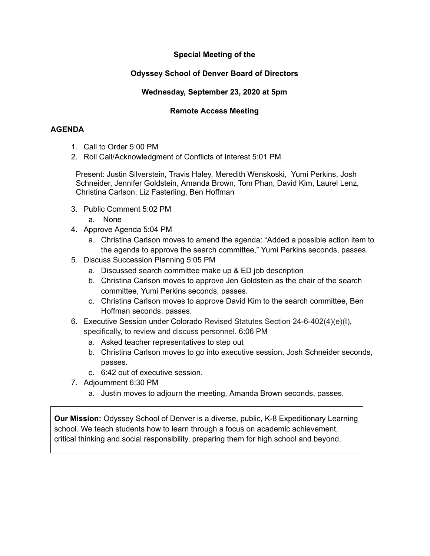# **Special Meeting of the**

## **Odyssey School of Denver Board of Directors**

### **Wednesday, September 23, 2020 at 5pm**

### **Remote Access Meeting**

#### **AGENDA**

- 1. Call to Order 5:00 PM
- 2. Roll Call/Acknowledgment of Conflicts of Interest 5:01 PM

Present: Justin Silverstein, Travis Haley, Meredith Wenskoski, Yumi Perkins, Josh Schneider, Jennifer Goldstein, Amanda Brown, Tom Phan, David Kim, Laurel Lenz, Christina Carlson, Liz Fasterling, Ben Hoffman

- 3. Public Comment 5:02 PM
	- a. None
- 4. Approve Agenda 5:04 PM
	- a. Christina Carlson moves to amend the agenda: "Added a possible action item to the agenda to approve the search committee," Yumi Perkins seconds, passes.
- 5. Discuss Succession Planning 5:05 PM
	- a. Discussed search committee make up & ED job description
	- b. Christina Carlson moves to approve Jen Goldstein as the chair of the search committee, Yumi Perkins seconds, passes.
	- c. Christina Carlson moves to approve David Kim to the search committee, Ben Hoffman seconds, passes.
- 6. Executive Session under Colorado Revised Statutes Section 24-6-402(4)(e)(I), specifically, to review and discuss personnel. 6:06 PM
	- a. Asked teacher representatives to step out
	- b. Christina Carlson moves to go into executive session, Josh Schneider seconds, passes.
	- c. 6:42 out of executive session.
- 7. Adjournment 6:30 PM
	- a. Justin moves to adjourn the meeting, Amanda Brown seconds, passes.

**Our Mission:** Odyssey School of Denver is a diverse, public, K-8 Expeditionary Learning school. We teach students how to learn through a focus on academic achievement, critical thinking and social responsibility, preparing them for high school and beyond.